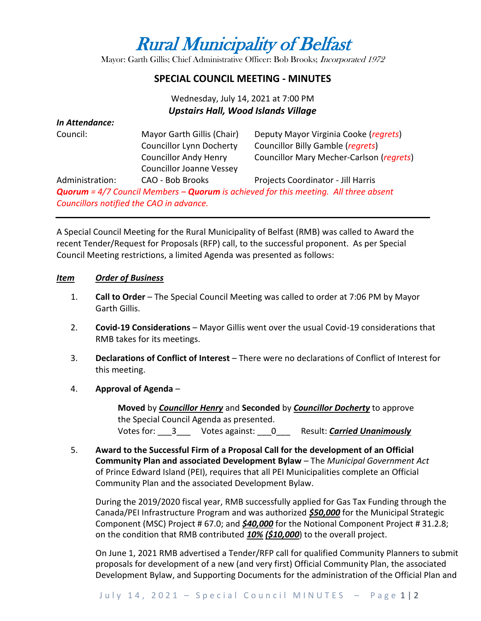# Rural Municipality of Belfast

Mayor: Garth Gillis; Chief Administrative Officer: Bob Brooks; Incorporated 1972

### **SPECIAL COUNCIL MEETING - MINUTES**

## Wednesday, July 14, 2021 at 7:00 PM *Upstairs Hall, Wood Islands Village*

| In Attendance:  |                                          |                                                                                                    |
|-----------------|------------------------------------------|----------------------------------------------------------------------------------------------------|
| Council:        | Mayor Garth Gillis (Chair)               | Deputy Mayor Virginia Cooke (regrets)                                                              |
|                 | <b>Councillor Lynn Docherty</b>          | Councillor Billy Gamble (regrets)                                                                  |
|                 | <b>Councillor Andy Henry</b>             | Councillor Mary Mecher-Carlson (regrets)                                                           |
|                 | <b>Councillor Joanne Vessey</b>          |                                                                                                    |
| Administration: | CAO - Bob Brooks                         | Projects Coordinator - Jill Harris                                                                 |
|                 |                                          | <b>Quorum</b> = 4/7 Council Members – <b>Quorum</b> is achieved for this meeting. All three absent |
|                 | Councillors notified the CAO in advance. |                                                                                                    |

A Special Council Meeting for the Rural Municipality of Belfast (RMB) was called to Award the recent Tender/Request for Proposals (RFP) call, to the successful proponent. As per Special Council Meeting restrictions, a limited Agenda was presented as follows:

#### *Item Order of Business*

- 1. **Call to Order** The Special Council Meeting was called to order at 7:06 PM by Mayor Garth Gillis.
- 2. **Covid-19 Considerations**  Mayor Gillis went over the usual Covid-19 considerations that RMB takes for its meetings.
- 3. **Declarations of Conflict of Interest** There were no declarations of Conflict of Interest for this meeting.

#### 4. **Approval of Agenda** –

**Moved** by *Councillor Henry* and **Seconded** by *Councillor Docherty* to approve the Special Council Agenda as presented. Votes for: 3 Votes against: 0 Result: **Carried Unanimously** 

5. **Award to the Successful Firm of a Proposal Call for the development of an Official Community Plan and associated Development Bylaw** – The *Municipal Government Act* of Prince Edward Island (PEI), requires that all PEI Municipalities complete an Official Community Plan and the associated Development Bylaw.

During the 2019/2020 fiscal year, RMB successfully applied for Gas Tax Funding through the Canada/PEI Infrastructure Program and was authorized *\$50,000* for the Municipal Strategic Component (MSC) Project # 67.0; and *\$40,000* for the Notional Component Project # 31.2.8; on the condition that RMB contributed *10% (\$10,000*) to the overall project.

On June 1, 2021 RMB advertised a Tender/RFP call for qualified Community Planners to submit proposals for development of a new (and very first) Official Community Plan, the associated Development Bylaw, and Supporting Documents for the administration of the Official Plan and